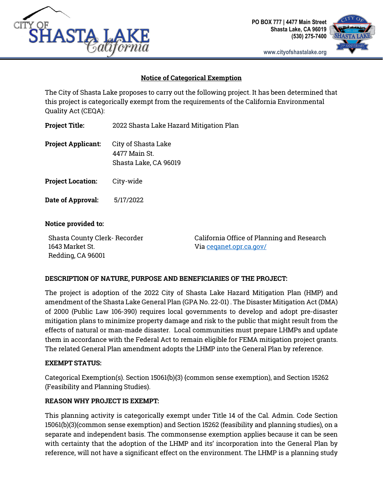



# **Notice of Categorical Exemption**

The City of Shasta Lake proposes to carry out the following project. It has been determined that this project is categorically exempt from the requirements of the California Environmental Quality Act (CEQA):

**Project Title:** 2022 Shasta Lake Hazard Mitigation Plan

**Project Applicant:** City of Shasta Lake 4477 Main St. Shasta Lake, CA 96019

**Project Location:** City-wide

**Date of Approval:** 5/17/2022

## **Notice provided to:**

1643 Market St. No. 1643 Market St. 2014 1643 Market St. Redding, CA 96001

Shasta County Clerk- Recorder California Office of Planning and Research

## **DESCRIPTION OF NATURE, PURPOSE AND BENEFICIARIES OF THE PROJECT:**

The project is adoption of the 2022 City of Shasta Lake Hazard Mitigation Plan (HMP) and amendment of the Shasta Lake General Plan (GPA No. 22-01) . The Disaster Mitigation Act (DMA) of 2000 (Public Law 106-390) requires local governments to develop and adopt pre-disaster mitigation plans to minimize property damage and risk to the public that might result from the effects of natural or man-made disaster. Local communities must prepare LHMPs and update them in accordance with the Federal Act to remain eligible for FEMA mitigation project grants. The related General Plan amendment adopts the LHMP into the General Plan by reference.

### **EXEMPT STATUS:**

Categorical Exemption(s). Section 15061{b){3) {common sense exemption), and Section 15262 (Feasibility and Planning Studies).

### **REASON WHY PROJECT IS EXEMPT:**

This planning activity is categorically exempt under Title 14 of the Cal. Admin. Code Section 15061(b)(3)(common sense exemption) and Section 15262 (feasibility and planning studies), on a separate and independent basis. The commonsense exemption applies because it can be seen with certainty that the adoption of the LHMP and its' incorporation into the General Plan by reference, will not have a significant effect on the environment. The LHMP is a planning study